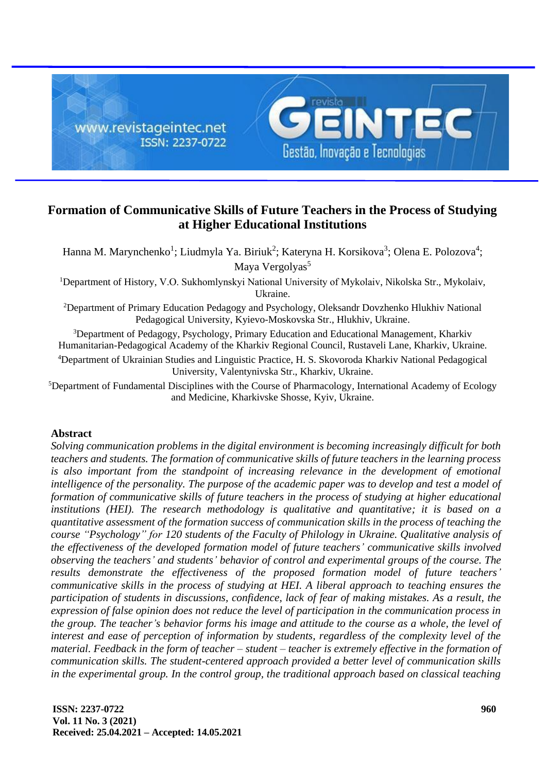

# **Formation of Communicative Skills of Future Teachers in the Process of Studying at Higher Educational Institutions**

Hanna M. Marynchenko<sup>1</sup>; Liudmyla Ya. Biriuk<sup>2</sup>; Kateryna H. Korsikova<sup>3</sup>; Olena E. Polozova<sup>4</sup>; Maya Vergolyas<sup>5</sup>

<sup>1</sup>Department of History, V.О. Sukhomlynskyi National University of Mykolaiv, Nikolska Str., Mykolaiv, Ukraine.

<sup>2</sup>Department of Primary Education Pedagogy and Psychology, Oleksandr Dovzhenko Hlukhiv National Pedagogical University, Kyievo-Moskovska Str., Hlukhiv, Ukraine.

<sup>3</sup>Department of Pedagogy, Psychology, Primary Education and Educational Management, Kharkiv Humanitarian-Pedagogical Academy of the Kharkiv Regional Council, Rustaveli Lane, Kharkiv, Ukraine.

<sup>4</sup>Department of Ukrainian Studies and Linguistic Practice, H. S. Skovoroda Kharkiv National Pedagogical University, Valentynivska Str., Kharkiv, Ukraine.

<sup>5</sup>Department of Fundamental Disciplines with the Course of Pharmacology, International Academy of Ecology and Medicine, Kharkivske Shosse, Kyiv, Ukraine.

# **Abstract**

*Solving communication problems in the digital environment is becoming increasingly difficult for both teachers and students. The formation of communicative skills of future teachers in the learning process*  is also important from the standpoint of increasing relevance in the development of emotional *intelligence of the personality. The purpose of the academic paper was to develop and test a model of formation of communicative skills of future teachers in the process of studying at higher educational institutions (HEI). The research methodology is qualitative and quantitative; it is based on a quantitative assessment of the formation success of communication skills in the process of teaching the course "Psychology" for 120 students of the Faculty of Philology in Ukraine. Qualitative analysis of the effectiveness of the developed formation model of future teachers' communicative skills involved observing the teachers' and students' behavior of control and experimental groups of the course. The results demonstrate the effectiveness of the proposed formation model of future teachers' communicative skills in the process of studying at HEI. A liberal approach to teaching ensures the participation of students in discussions, confidence, lack of fear of making mistakes. As a result, the expression of false opinion does not reduce the level of participation in the communication process in the group. The teacher's behavior forms his image and attitude to the course as a whole, the level of interest and ease of perception of information by students, regardless of the complexity level of the material. Feedback in the form of teacher – student – teacher is extremely effective in the formation of communication skills. The student-centered approach provided a better level of communication skills in the experimental group. In the control group, the traditional approach based on classical teaching*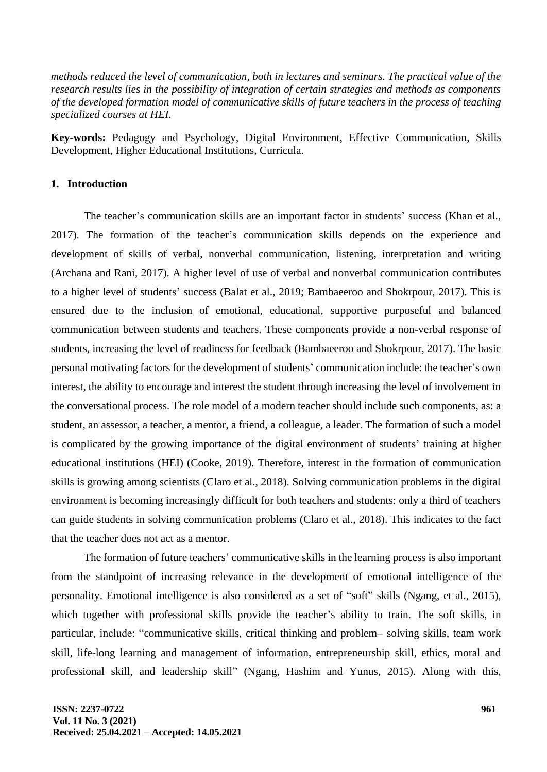*methods reduced the level of communication, both in lectures and seminars. The practical value of the research results lies in the possibility of integration of certain strategies and methods as components of the developed formation model of communicative skills of future teachers in the process of teaching specialized courses at HEI.*

**Key-words:** Pedagogy and Psychology, Digital Environment, Effective Communication, Skills Development, Higher Educational Institutions, Curricula.

# **1. Introduction**

The teacher's communication skills are an important factor in students' success (Khan et al., 2017). The formation of the teacher's communication skills depends on the experience and development of skills of verbal, nonverbal communication, listening, interpretation and writing (Archana and Rani, 2017). A higher level of use of verbal and nonverbal communication contributes to a higher level of students' success (Balat et al., 2019; Bambaeeroo and Shokrpour, 2017). This is ensured due to the inclusion of emotional, educational, supportive purposeful and balanced communication between students and teachers. These components provide a non-verbal response of students, increasing the level of readiness for feedback (Bambaeeroo and Shokrpour, 2017). The basic personal motivating factors for the development of students' communication include: the teacher's own interest, the ability to encourage and interest the student through increasing the level of involvement in the conversational process. The role model of a modern teacher should include such components, as: a student, an assessor, a teacher, a mentor, a friend, a colleague, a leader. The formation of such a model is complicated by the growing importance of the digital environment of students' training at higher educational institutions (HEI) (Cooke, 2019). Therefore, interest in the formation of communication skills is growing among scientists (Claro et al., 2018). Solving communication problems in the digital environment is becoming increasingly difficult for both teachers and students: only a third of teachers can guide students in solving communication problems (Claro et al., 2018). This indicates to the fact that the teacher does not act as a mentor.

The formation of future teachers' communicative skills in the learning process is also important from the standpoint of increasing relevance in the development of emotional intelligence of the personality. Emotional intelligence is also considered as a set of "soft" skills (Ngang, et al., 2015), which together with professional skills provide the teacher's ability to train. The soft skills, in particular, include: "communicative skills, critical thinking and problem– solving skills, team work skill, life-long learning and management of information, entrepreneurship skill, ethics, moral and professional skill, and leadership skill" (Ngang, Hashim and Yunus, 2015). Along with this,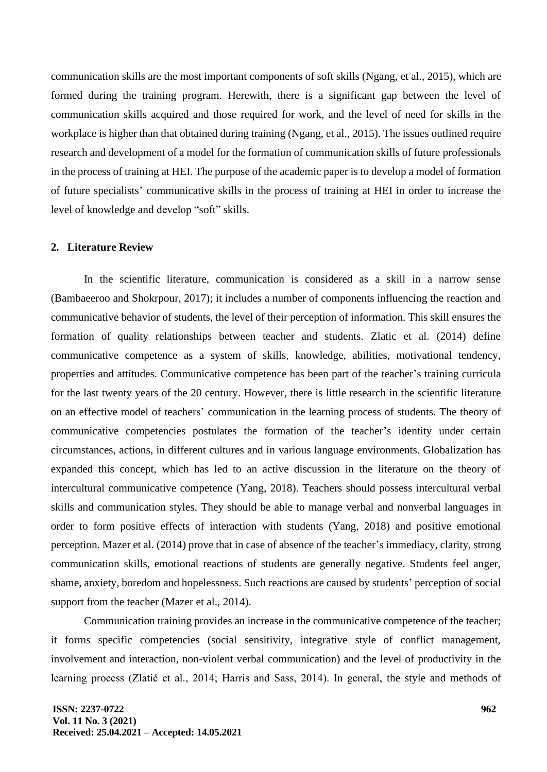communication skills are the most important components of soft skills (Ngang, et al., 2015), which are formed during the training program. Herewith, there is a significant gap between the level of communication skills acquired and those required for work, and the level of need for skills in the workplace is higher than that obtained during training (Ngang, et al., 2015). The issues outlined require research and development of a model for the formation of communication skills of future professionals in the process of training at HEI. The purpose of the academic paper is to develop a model of formation of future specialists' communicative skills in the process of training at HEI in order to increase the level of knowledge and develop "soft" skills.

## **2. Literature Review**

In the scientific literature, communication is considered as a skill in a narrow sense (Bambaeeroo and Shokrpour, 2017); it includes a number of components influencing the reaction and communicative behavior of students, the level of their perception of information. This skill ensures the formation of quality relationships between teacher and students. Zlatic et al. (2014) define communicative competence as a system of skills, knowledge, abilities, motivational tendency, properties and attitudes. Communicative competence has been part of the teacher's training curricula for the last twenty years of the 20 century. However, there is little research in the scientific literature on an effective model of teachers' communication in the learning process of students. The theory of communicative competencies postulates the formation of the teacher's identity under certain circumstances, actions, in different cultures and in various language environments. Globalization has expanded this concept, which has led to an active discussion in the literature on the theory of intercultural communicative competence (Yang, 2018). Teachers should possess intercultural verbal skills and communication styles. They should be able to manage verbal and nonverbal languages in order to form positive effects of interaction with students (Yang, 2018) and positive emotional perception. Mazer et al. (2014) prove that in case of absence of the teacher's immediacy, clarity, strong communication skills, emotional reactions of students are generally negative. Students feel anger, shame, anxiety, boredom and hopelessness. Such reactions are caused by students' perception of social support from the teacher (Mazer et al., 2014).

Communication training provides an increase in the communicative competence of the teacher; it forms specific competencies (social sensitivity, integrative style of conflict management, involvement and interaction, non-violent verbal communication) and the level of productivity in the learning process (Zlatić et al., 2014; Harris and Sass, 2014). In general, the style and methods of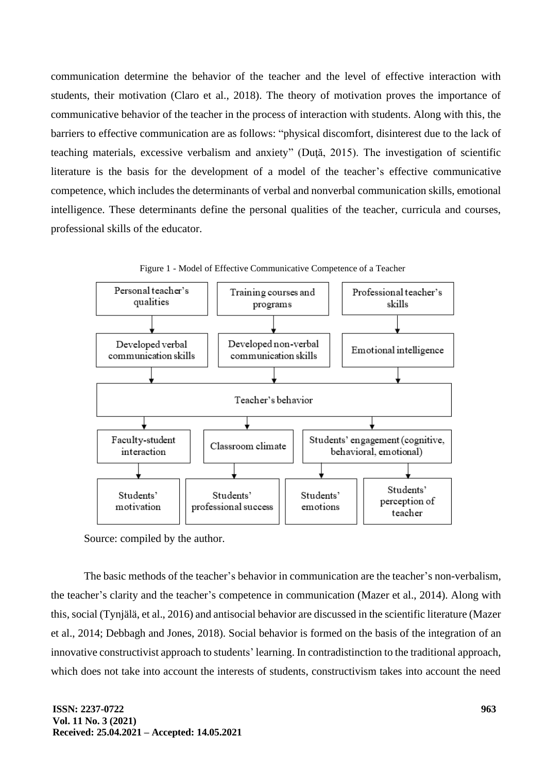communication determine the behavior of the teacher and the level of effective interaction with students, their motivation (Claro et al., 2018). The theory of motivation proves the importance of communicative behavior of the teacher in the process of interaction with students. Along with this, the barriers to effective communication are as follows: "physical discomfort, disinterest due to the lack of teaching materials, excessive verbalism and anxiety" (Duţă, 2015). The investigation of scientific literature is the basis for the development of a model of the teacher's effective communicative competence, which includes the determinants of verbal and nonverbal communication skills, emotional intelligence. These determinants define the personal qualities of the teacher, curricula and courses, professional skills of the educator.



Figure 1 - Model of Effective Communicative Competence of a Teacher

Source: compiled by the author.

The basic methods of the teacher's behavior in communication are the teacher's non-verbalism, the teacher's clarity and the teacher's competence in communication (Mazer et al., 2014). Along with this, social (Tynjälä, et al., 2016) and antisocial behavior are discussed in the scientific literature (Mazer et al., 2014; Debbagh and Jones, 2018). Social behavior is formed on the basis of the integration of an innovative constructivist approach to students' learning. In contradistinction to the traditional approach, which does not take into account the interests of students, constructivism takes into account the need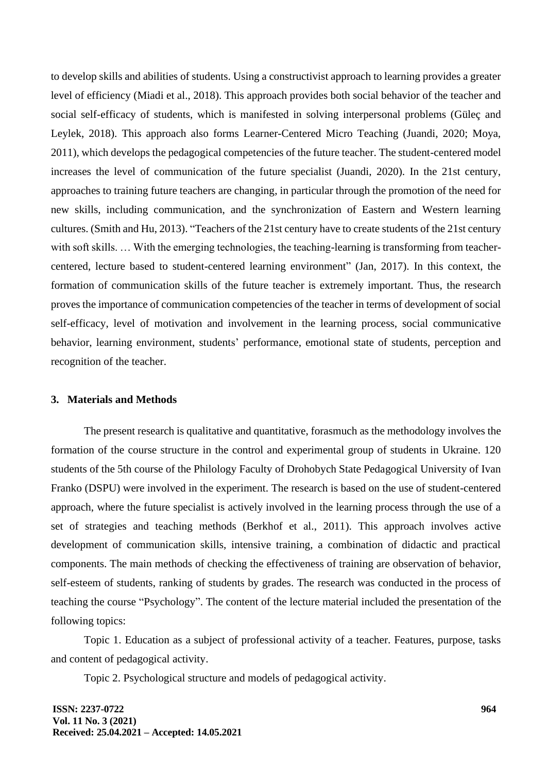to develop skills and abilities of students. Using a constructivist approach to learning provides a greater level of efficiency (Miadi et al., 2018). This approach provides both social behavior of the teacher and social self-efficacy of students, which is manifested in solving interpersonal problems (Güleç and Leylek, 2018). This approach also forms Learner-Centered Micro Teaching (Juandi, 2020; Moya, 2011), which develops the pedagogical competencies of the future teacher. The student-centered model increases the level of communication of the future specialist (Juandi, 2020). In the 21st century, approaches to training future teachers are changing, in particular through the promotion of the need for new skills, including communication, and the synchronization of Eastern and Western learning cultures. (Smith and Hu, 2013). "Teachers of the 21st century have to create students of the 21st century with soft skills. ... With the emerging technologies, the teaching-learning is transforming from teachercentered, lecture based to student-centered learning environment" (Jan, 2017). In this context, the formation of communication skills of the future teacher is extremely important. Thus, the research proves the importance of communication competencies of the teacher in terms of development of social self-efficacy, level of motivation and involvement in the learning process, social communicative behavior, learning environment, students' performance, emotional state of students, perception and recognition of the teacher.

#### **3. Materials and Methods**

The present research is qualitative and quantitative, forasmuch as the methodology involves the formation of the course structure in the control and experimental group of students in Ukraine. 120 students of the 5th course of the Philology Faculty of Drohobych State Pedagogical University of Ivan Franko (DSPU) were involved in the experiment. The research is based on the use of student-centered approach, where the future specialist is actively involved in the learning process through the use of a set of strategies and teaching methods (Berkhof et al., 2011). This approach involves active development of communication skills, intensive training, a combination of didactic and practical components. The main methods of checking the effectiveness of training are observation of behavior, self-esteem of students, ranking of students by grades. The research was conducted in the process of teaching the course "Psychology". The content of the lecture material included the presentation of the following topics:

Topic 1. Education as a subject of professional activity of a teacher. Features, purpose, tasks and content of pedagogical activity.

Topic 2. Psychological structure and models of pedagogical activity.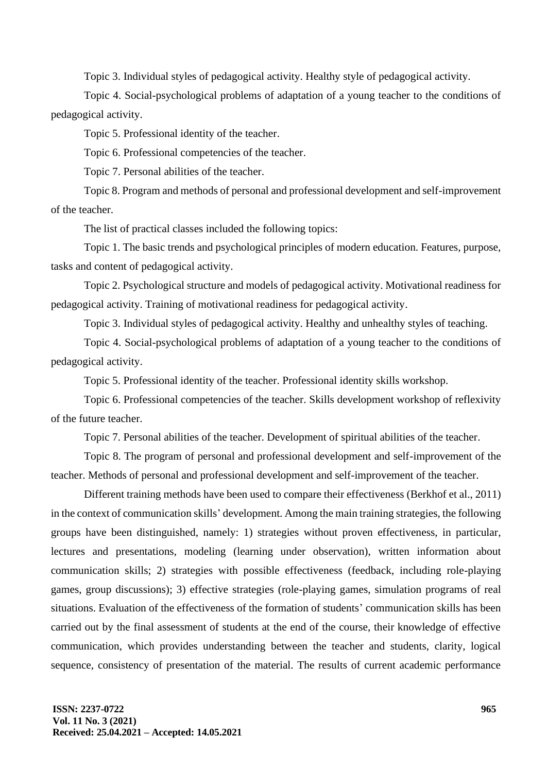Topic 3. Individual styles of pedagogical activity. Healthy style of pedagogical activity.

Topic 4. Social-psychological problems of adaptation of a young teacher to the conditions of pedagogical activity.

Topic 5. Professional identity of the teacher.

Topic 6. Professional competencies of the teacher.

Topic 7. Personal abilities of the teacher.

Topic 8. Program and methods of personal and professional development and self-improvement of the teacher.

The list of practical classes included the following topics:

Topic 1. The basic trends and psychological principles of modern education. Features, purpose, tasks and content of pedagogical activity.

Topic 2. Psychological structure and models of pedagogical activity. Motivational readiness for pedagogical activity. Training of motivational readiness for pedagogical activity.

Topic 3. Individual styles of pedagogical activity. Healthy and unhealthy styles of teaching.

Topic 4. Social-psychological problems of adaptation of a young teacher to the conditions of pedagogical activity.

Topic 5. Professional identity of the teacher. Professional identity skills workshop.

Topic 6. Professional competencies of the teacher. Skills development workshop of reflexivity of the future teacher.

Topic 7. Personal abilities of the teacher. Development of spiritual abilities of the teacher.

Topic 8. The program of personal and professional development and self-improvement of the teacher. Methods of personal and professional development and self-improvement of the teacher.

Different training methods have been used to compare their effectiveness (Berkhof et al., 2011) in the context of communication skills' development. Among the main training strategies, the following groups have been distinguished, namely: 1) strategies without proven effectiveness, in particular, lectures and presentations, modeling (learning under observation), written information about communication skills; 2) strategies with possible effectiveness (feedback, including role-playing games, group discussions); 3) effective strategies (role-playing games, simulation programs of real situations. Evaluation of the effectiveness of the formation of students' communication skills has been carried out by the final assessment of students at the end of the course, their knowledge of effective communication, which provides understanding between the teacher and students, clarity, logical sequence, consistency of presentation of the material. The results of current academic performance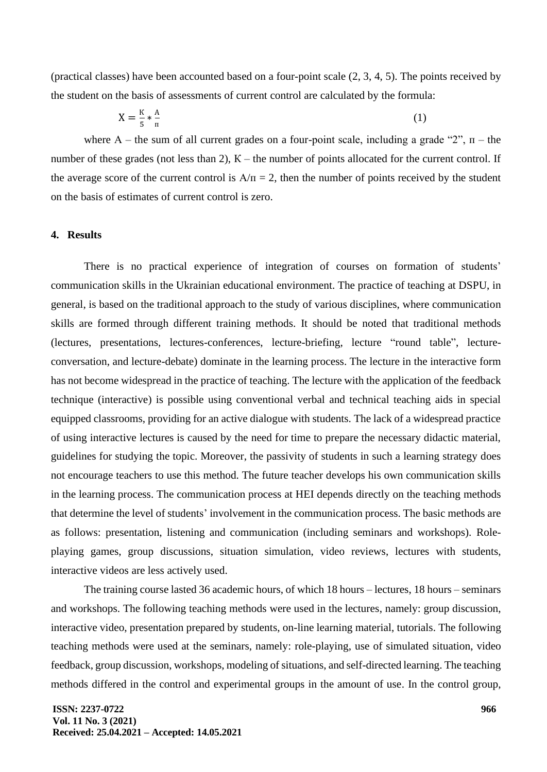(practical classes) have been accounted based on a four-point scale (2, 3, 4, 5). The points received by the student on the basis of assessments of current control are calculated by the formula:

$$
X = \frac{K}{5} * \frac{A}{\pi} \tag{1}
$$

where A – the sum of all current grades on a four-point scale, including a grade "2",  $\pi$  – the number of these grades (not less than 2),  $K$  – the number of points allocated for the current control. If the average score of the current control is  $A/\pi = 2$ , then the number of points received by the student on the basis of estimates of current control is zero.

#### **4. Results**

There is no practical experience of integration of courses on formation of students' communication skills in the Ukrainian educational environment. The practice of teaching at DSPU, in general, is based on the traditional approach to the study of various disciplines, where communication skills are formed through different training methods. It should be noted that traditional methods (lectures, presentations, lectures-conferences, lecture-briefing, lecture "round table", lectureconversation, and lecture-debate) dominate in the learning process. The lecture in the interactive form has not become widespread in the practice of teaching. The lecture with the application of the feedback technique (interactive) is possible using conventional verbal and technical teaching aids in special equipped classrooms, providing for an active dialogue with students. The lack of a widespread practice of using interactive lectures is caused by the need for time to prepare the necessary didactic material, guidelines for studying the topic. Moreover, the passivity of students in such a learning strategy does not encourage teachers to use this method. The future teacher develops his own communication skills in the learning process. The communication process at HEI depends directly on the teaching methods that determine the level of students' involvement in the communication process. The basic methods are as follows: presentation, listening and communication (including seminars and workshops). Roleplaying games, group discussions, situation simulation, video reviews, lectures with students, interactive videos are less actively used.

The training course lasted 36 academic hours, of which 18 hours – lectures, 18 hours – seminars and workshops. The following teaching methods were used in the lectures, namely: group discussion, interactive video, presentation prepared by students, on-line learning material, tutorials. The following teaching methods were used at the seminars, namely: role-playing, use of simulated situation, video feedback, group discussion, workshops, modeling of situations, and self-directed learning. The teaching methods differed in the control and experimental groups in the amount of use. In the control group,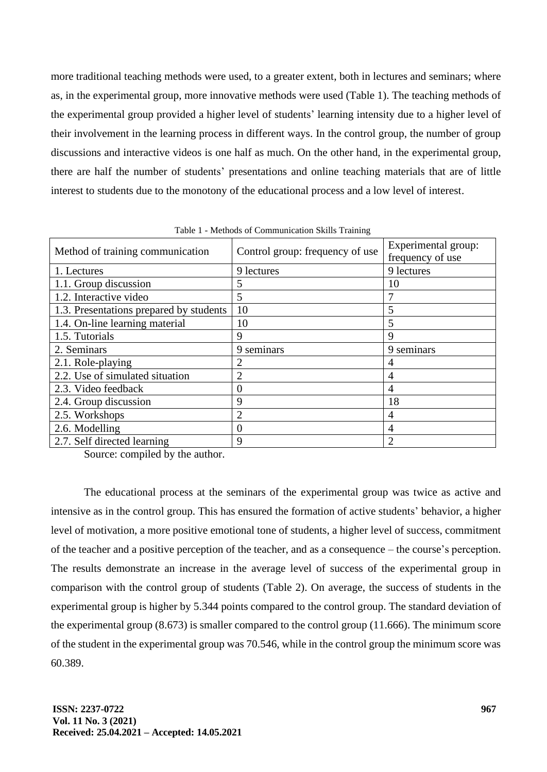more traditional teaching methods were used, to a greater extent, both in lectures and seminars; where as, in the experimental group, more innovative methods were used (Table 1). The teaching methods of the experimental group provided a higher level of students' learning intensity due to a higher level of their involvement in the learning process in different ways. In the control group, the number of group discussions and interactive videos is one half as much. On the other hand, in the experimental group, there are half the number of students' presentations and online teaching materials that are of little interest to students due to the monotony of the educational process and a low level of interest.

| Method of training communication        | Control group: frequency of use | Experimental group:<br>frequency of use |
|-----------------------------------------|---------------------------------|-----------------------------------------|
| 1. Lectures                             | 9 lectures                      | 9 lectures                              |
| 1.1. Group discussion                   | 5                               | 10                                      |
| 1.2. Interactive video                  | 5                               |                                         |
| 1.3. Presentations prepared by students | 10                              | 5                                       |
| 1.4. On-line learning material          | 10                              | 5                                       |
| 1.5. Tutorials                          | 9                               | 9                                       |
| 2. Seminars                             | 9 seminars                      | 9 seminars                              |
| 2.1. Role-playing                       | 2                               | 4                                       |
| 2.2. Use of simulated situation         | $\overline{2}$                  | 4                                       |
| 2.3. Video feedback                     | $\theta$                        | 4                                       |
| 2.4. Group discussion                   | 9                               | 18                                      |
| 2.5. Workshops                          | $\overline{c}$                  | 4                                       |
| 2.6. Modelling                          | $\theta$                        | 4                                       |
| 2.7. Self directed learning             | 9                               | っ                                       |

Table 1 - Methods of Communication Skills Training

Source: compiled by the author.

The educational process at the seminars of the experimental group was twice as active and intensive as in the control group. This has ensured the formation of active students' behavior, a higher level of motivation, a more positive emotional tone of students, a higher level of success, commitment of the teacher and a positive perception of the teacher, and as a consequence – the course's perception. The results demonstrate an increase in the average level of success of the experimental group in comparison with the control group of students (Table 2). On average, the success of students in the experimental group is higher by 5.344 points compared to the control group. The standard deviation of the experimental group (8.673) is smaller compared to the control group (11.666). The minimum score of the student in the experimental group was 70.546, while in the control group the minimum score was 60.389.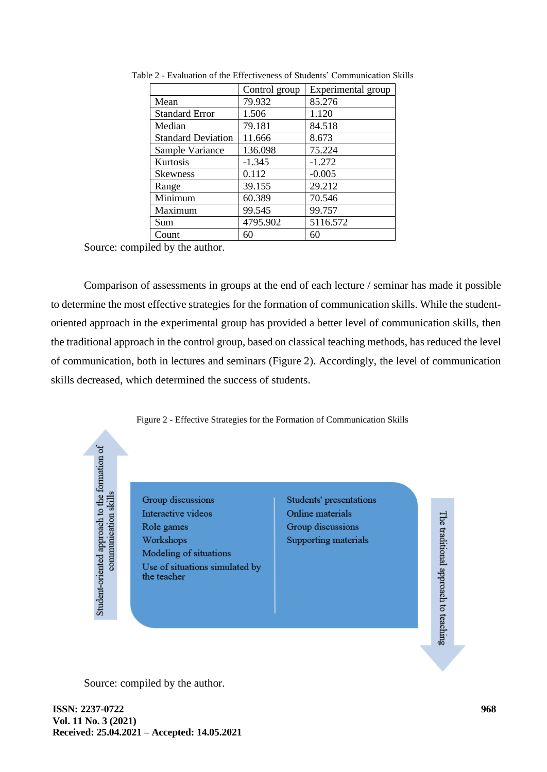|                           | Control group | Experimental group |
|---------------------------|---------------|--------------------|
| Mean                      | 79.932        | 85.276             |
| <b>Standard Error</b>     | 1.506         | 1.120              |
| Median                    | 79.181        | 84.518             |
| <b>Standard Deviation</b> | 11.666        | 8.673              |
| Sample Variance           | 136.098       | 75.224             |
| Kurtosis                  | $-1.345$      | $-1.272$           |
| <b>Skewness</b>           | 0.112         | $-0.005$           |
| Range                     | 39.155        | 29.212             |
| Minimum                   | 60.389        | 70.546             |
| Maximum                   | 99.545        | 99.757             |
| Sum                       | 4795.902      | 5116.572           |
| Count                     | 60            | 60                 |

Table 2 - Evaluation of the Effectiveness of Students' Communication Skills

Source: compiled by the author.

Comparison of assessments in groups at the end of each lecture / seminar has made it possible to determine the most effective strategies for the formation of communication skills. While the studentoriented approach in the experimental group has provided a better level of communication skills, then the traditional approach in the control group, based on classical teaching methods, has reduced the level of communication, both in lectures and seminars (Figure 2). Accordingly, the level of communication skills decreased, which determined the success of students.



Group discussions Interactive videos Role games Workshops Modeling of situations Use of situations simulated by the teacher

Students' presentations Online materials Group discussions Supporting materials

The traditional approach to teaching

Source: compiled by the author.

Student-oriented approach to the formation of communication skills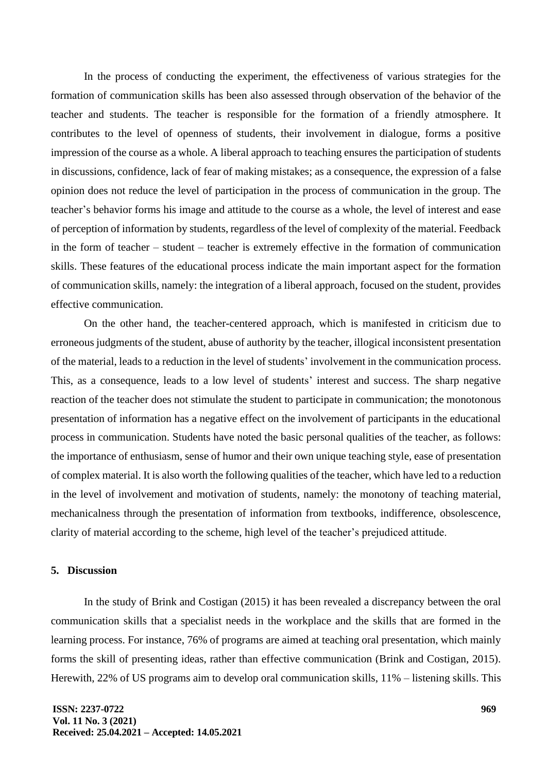In the process of conducting the experiment, the effectiveness of various strategies for the formation of communication skills has been also assessed through observation of the behavior of the teacher and students. The teacher is responsible for the formation of a friendly atmosphere. It contributes to the level of openness of students, their involvement in dialogue, forms a positive impression of the course as a whole. A liberal approach to teaching ensures the participation of students in discussions, confidence, lack of fear of making mistakes; as a consequence, the expression of a false opinion does not reduce the level of participation in the process of communication in the group. The teacher's behavior forms his image and attitude to the course as a whole, the level of interest and ease of perception of information by students, regardless of the level of complexity of the material. Feedback in the form of teacher – student – teacher is extremely effective in the formation of communication skills. These features of the educational process indicate the main important aspect for the formation of communication skills, namely: the integration of a liberal approach, focused on the student, provides effective communication.

On the other hand, the teacher-centered approach, which is manifested in criticism due to erroneous judgments of the student, abuse of authority by the teacher, illogical inconsistent presentation of the material, leads to a reduction in the level of students' involvement in the communication process. This, as a consequence, leads to a low level of students' interest and success. The sharp negative reaction of the teacher does not stimulate the student to participate in communication; the monotonous presentation of information has a negative effect on the involvement of participants in the educational process in communication. Students have noted the basic personal qualities of the teacher, as follows: the importance of enthusiasm, sense of humor and their own unique teaching style, ease of presentation of complex material. It is also worth the following qualities of the teacher, which have led to a reduction in the level of involvement and motivation of students, namely: the monotony of teaching material, mechanicalness through the presentation of information from textbooks, indifference, obsolescence, clarity of material according to the scheme, high level of the teacher's prejudiced attitude.

## **5. Discussion**

In the study of Brink and Costigan (2015) it has been revealed a discrepancy between the oral communication skills that a specialist needs in the workplace and the skills that are formed in the learning process. For instance, 76% of programs are aimed at teaching oral presentation, which mainly forms the skill of presenting ideas, rather than effective communication (Brink and Costigan, 2015). Herewith, 22% of US programs aim to develop oral communication skills, 11% – listening skills. This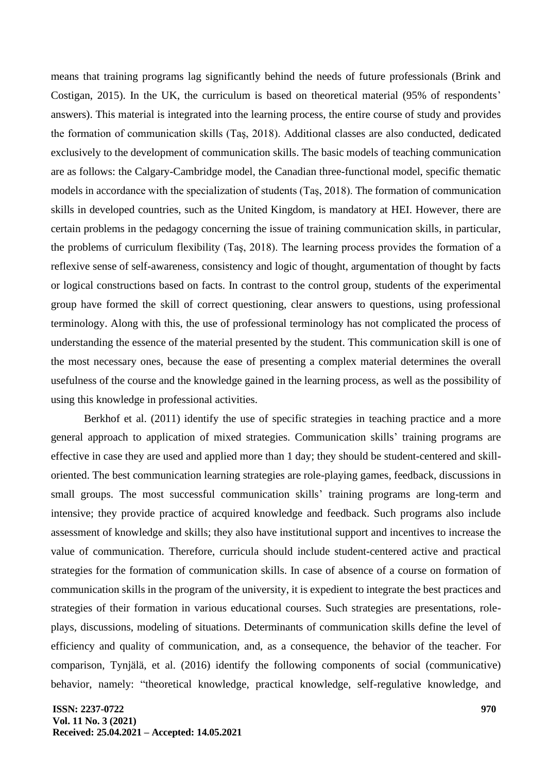means that training programs lag significantly behind the needs of future professionals (Brink and Costigan, 2015). In the UK, the curriculum is based on theoretical material (95% of respondents' answers). This material is integrated into the learning process, the entire course of study and provides the formation of communication skills (Taş, 2018). Additional classes are also conducted, dedicated exclusively to the development of communication skills. The basic models of teaching communication are as follows: the Calgary-Cambridge model, the Canadian three-functional model, specific thematic models in accordance with the specialization of students (Taş, 2018). The formation of communication skills in developed countries, such as the United Kingdom, is mandatory at HEI. However, there are certain problems in the pedagogy concerning the issue of training communication skills, in particular, the problems of curriculum flexibility (Taş, 2018). The learning process provides the formation of a reflexive sense of self-awareness, consistency and logic of thought, argumentation of thought by facts or logical constructions based on facts. In contrast to the control group, students of the experimental group have formed the skill of correct questioning, clear answers to questions, using professional terminology. Along with this, the use of professional terminology has not complicated the process of understanding the essence of the material presented by the student. This communication skill is one of the most necessary ones, because the ease of presenting a complex material determines the overall usefulness of the course and the knowledge gained in the learning process, as well as the possibility of using this knowledge in professional activities.

Berkhof et al. (2011) identify the use of specific strategies in teaching practice and a more general approach to application of mixed strategies. Communication skills' training programs are effective in case they are used and applied more than 1 day; they should be student-centered and skilloriented. The best communication learning strategies are role-playing games, feedback, discussions in small groups. The most successful communication skills' training programs are long-term and intensive; they provide practice of acquired knowledge and feedback. Such programs also include assessment of knowledge and skills; they also have institutional support and incentives to increase the value of communication. Therefore, curricula should include student-centered active and practical strategies for the formation of communication skills. In case of absence of a course on formation of communication skills in the program of the university, it is expedient to integrate the best practices and strategies of their formation in various educational courses. Such strategies are presentations, roleplays, discussions, modeling of situations. Determinants of communication skills define the level of efficiency and quality of communication, and, as a consequence, the behavior of the teacher. For comparison, Tynjälä, et al. (2016) identify the following components of social (communicative) behavior, namely: "theoretical knowledge, practical knowledge, self-regulative knowledge, and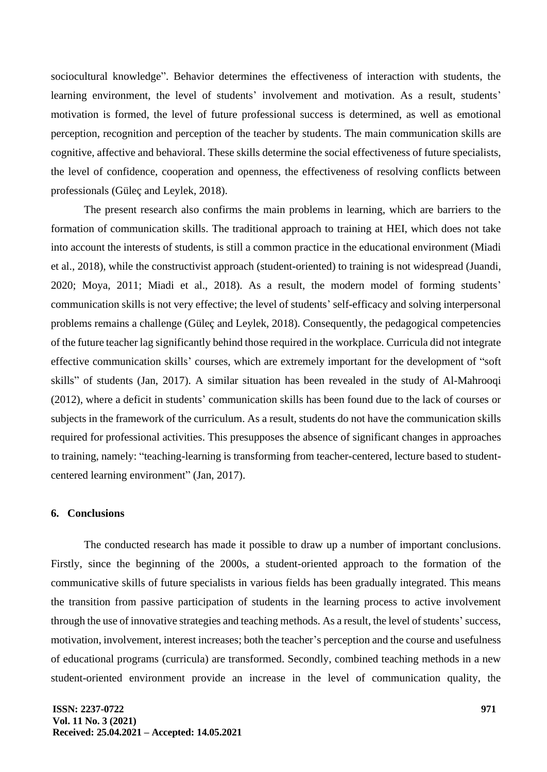sociocultural knowledge". Behavior determines the effectiveness of interaction with students, the learning environment, the level of students' involvement and motivation. As a result, students' motivation is formed, the level of future professional success is determined, as well as emotional perception, recognition and perception of the teacher by students. The main communication skills are cognitive, affective and behavioral. These skills determine the social effectiveness of future specialists, the level of confidence, cooperation and openness, the effectiveness of resolving conflicts between professionals (Güleç and Leylek, 2018).

The present research also confirms the main problems in learning, which are barriers to the formation of communication skills. The traditional approach to training at HEI, which does not take into account the interests of students, is still a common practice in the educational environment (Miadi et al., 2018), while the constructivist approach (student-oriented) to training is not widespread (Juandi, 2020; Moya, 2011; Miadi et al., 2018). As a result, the modern model of forming students' communication skills is not very effective; the level of students' self-efficacy and solving interpersonal problems remains a challenge (Güleç and Leylek, 2018). Consequently, the pedagogical competencies of the future teacher lag significantly behind those required in the workplace. Curricula did not integrate effective communication skills' courses, which are extremely important for the development of "soft skills" of students (Jan, 2017). A similar situation has been revealed in the study of Al-Mahrooqi (2012), where a deficit in students' communication skills has been found due to the lack of courses or subjects in the framework of the curriculum. As a result, students do not have the communication skills required for professional activities. This presupposes the absence of significant changes in approaches to training, namely: "teaching-learning is transforming from teacher-centered, lecture based to studentcentered learning environment" (Jan, 2017).

### **6. Conclusions**

The conducted research has made it possible to draw up a number of important conclusions. Firstly, since the beginning of the 2000s, a student-oriented approach to the formation of the communicative skills of future specialists in various fields has been gradually integrated. This means the transition from passive participation of students in the learning process to active involvement through the use of innovative strategies and teaching methods. As a result, the level of students' success, motivation, involvement, interest increases; both the teacher's perception and the course and usefulness of educational programs (curricula) are transformed. Secondly, combined teaching methods in a new student-oriented environment provide an increase in the level of communication quality, the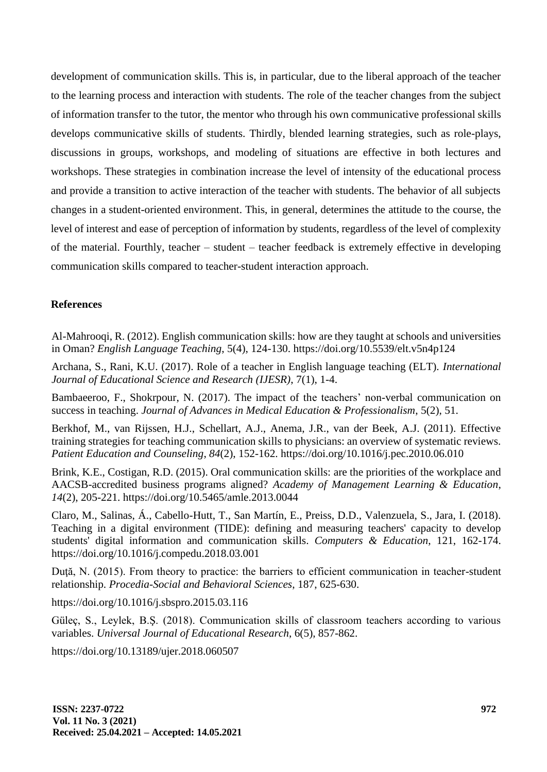development of communication skills. This is, in particular, due to the liberal approach of the teacher to the learning process and interaction with students. The role of the teacher changes from the subject of information transfer to the tutor, the mentor who through his own communicative professional skills develops communicative skills of students. Thirdly, blended learning strategies, such as role-plays, discussions in groups, workshops, and modeling of situations are effective in both lectures and workshops. These strategies in combination increase the level of intensity of the educational process and provide a transition to active interaction of the teacher with students. The behavior of all subjects changes in a student-oriented environment. This, in general, determines the attitude to the course, the level of interest and ease of perception of information by students, regardless of the level of complexity of the material. Fourthly, teacher – student – teacher feedback is extremely effective in developing communication skills compared to teacher-student interaction approach.

# **References**

Al-Mahrooqi, R. (2012). English communication skills: how are they taught at schools and universities in Oman? *English Language Teaching*, 5(4), 124-130. https://doi.org/10.5539/elt.v5n4p124

Archana, S., Rani, K.U. (2017). Role of a teacher in English language teaching (ELT). *International Journal of Educational Science and Research (IJESR)*, 7(1), 1-4.

Bambaeeroo, F., Shokrpour, N. (2017). The impact of the teachers' non-verbal communication on success in teaching. *Journal of Advances in Medical Education & Professionalism*, 5(2), 51.

Berkhof, M., van Rijssen, H.J., Schellart, A.J., Anema, J.R., van der Beek, A.J. (2011). Effective training strategies for teaching communication skills to physicians: an overview of systematic reviews. *Patient Education and Counseling*, *84*(2), 152-162.<https://doi.org/10.1016/j.pec.2010.06.010>

Brink, K.E., Costigan, R.D. (2015). Oral communication skills: are the priorities of the workplace and AACSB-accredited business programs aligned? *Academy of Management Learning & Education*, *14*(2), 205-221.<https://doi.org/10.5465/amle.2013.0044>

Claro, M., Salinas, Á., Cabello-Hutt, T., San Martín, E., Preiss, D.D., Valenzuela, S., Jara, I. (2018). Teaching in a digital environment (TIDE): defining and measuring teachers' capacity to develop students' digital information and communication skills. *Computers & Education*, 121, 162-174. <https://doi.org/10.1016/j.compedu.2018.03.001>

Duţă, N. (2015). From theory to practice: the barriers to efficient communication in teacher-student relationship. *Procedia-Social and Behavioral Sciences*, 187, 625-630.

<https://doi.org/10.1016/j.sbspro.2015.03.116>

Güleç, S., Leylek, B.Ş. (2018). Communication skills of classroom teachers according to various variables. *Universal Journal of Educational Research*, 6(5), 857-862.

https://doi.org/10.13189/ujer.2018.060507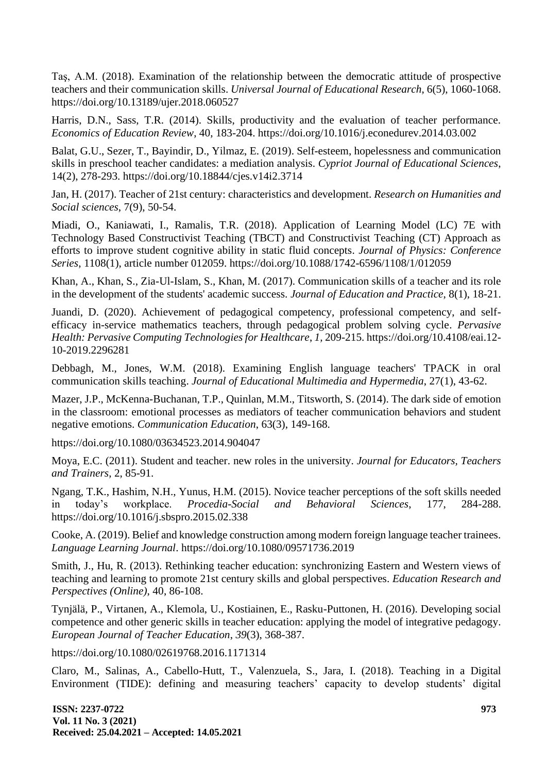Taş, A.M. (2018). Examination of the relationship between the democratic attitude of prospective teachers and their communication skills. *Universal Journal of Educational Research*, 6(5), 1060-1068. https://doi.org/10.13189/ujer.2018.060527

Harris, D.N., Sass, T.R. (2014). Skills, productivity and the evaluation of teacher performance. *Economics of Education Review*, 40, 183-204.<https://doi.org/10.1016/j.econedurev.2014.03.002>

Balat, G.U., Sezer, T., Bayindir, D., Yilmaz, E. (2019). Self-esteem, hopelessness and communication skills in preschool teacher candidates: a mediation analysis. *Cypriot Journal of Educational Sciences*, 14(2), 278-293. https://doi.org/10.18844/cjes.v14i2.3714

Jan, H. (2017). Teacher of 21st century: characteristics and development. *Research on Humanities and Social sciences*, 7(9), 50-54.

Miadi, O., Kaniawati, I., Ramalis, T.R. (2018). Application of Learning Model (LC) 7E with Technology Based Constructivist Teaching (TBCT) and Constructivist Teaching (CT) Approach as efforts to improve student cognitive ability in static fluid concepts. *Journal of Physics: Conference Series*, 1108(1), article number 012059. https://doi.org/10.1088/1742-6596/1108/1/012059

Khan, A., Khan, S., Zia-Ul-Islam, S., Khan, M. (2017). Communication skills of a teacher and its role in the development of the students' academic success. *Journal of Education and Practice*, 8(1), 18-21.

Juandi, D. (2020). Achievement of pedagogical competency, professional competency, and selfefficacy in-service mathematics teachers, through pedagogical problem solving cycle. *Pervasive Health: Pervasive Computing Technologies for Healthcare*, *1,* 209-215. https://doi.org/10.4108/eai.12- 10-2019.2296281

Debbagh, M., Jones, W.M. (2018). Examining English language teachers' TPACK in oral communication skills teaching. *Journal of Educational Multimedia and Hypermedia*, 27(1), 43-62.

Mazer, J.P., McKenna-Buchanan, T.P., Quinlan, M.M., Titsworth, S. (2014). The dark side of emotion in the classroom: emotional processes as mediators of teacher communication behaviors and student negative emotions. *Communication Education*, 63(3), 149-168.

<https://doi.org/10.1080/03634523.2014.904047>

Moya, E.C. (2011). Student and teacher. new roles in the university. *Journal for Educators, Teachers and Trainers*, 2, 85-91.

Ngang, T.K., Hashim, N.H., Yunus, H.M. (2015). Novice teacher perceptions of the soft skills needed in today's workplace. *Procedia-Social and Behavioral Sciences*, 177, 284-288. https://doi.org/10.1016/j.sbspro.2015.02.338

Cooke, A. (2019). Belief and knowledge construction among modern foreign language teacher trainees. *Language Learning Journal*. https://doi.org/10.1080/09571736.2019

Smith, J., Hu, R. (2013). Rethinking teacher education: synchronizing Eastern and Western views of teaching and learning to promote 21st century skills and global perspectives. *Education Research and Perspectives (Online)*, 40, 86-108.

Tynjälä, P., Virtanen, A., Klemola, U., Kostiainen, E., Rasku-Puttonen, H. (2016). Developing social competence and other generic skills in teacher education: applying the model of integrative pedagogy. *European Journal of Teacher Education*, *39*(3), 368-387.

https://doi.org/10.1080/02619768.2016.1171314

Claro, M., Salinas, A., Cabello-Hutt, T., Valenzuela, S., Jara, I. (2018). Teaching in a Digital Environment (TIDE): defining and measuring teachers' capacity to develop students' digital

**ISSN: 2237-0722 Vol. 11 No. 3 (2021) Received: 25.04.2021 – Accepted: 14.05.2021**